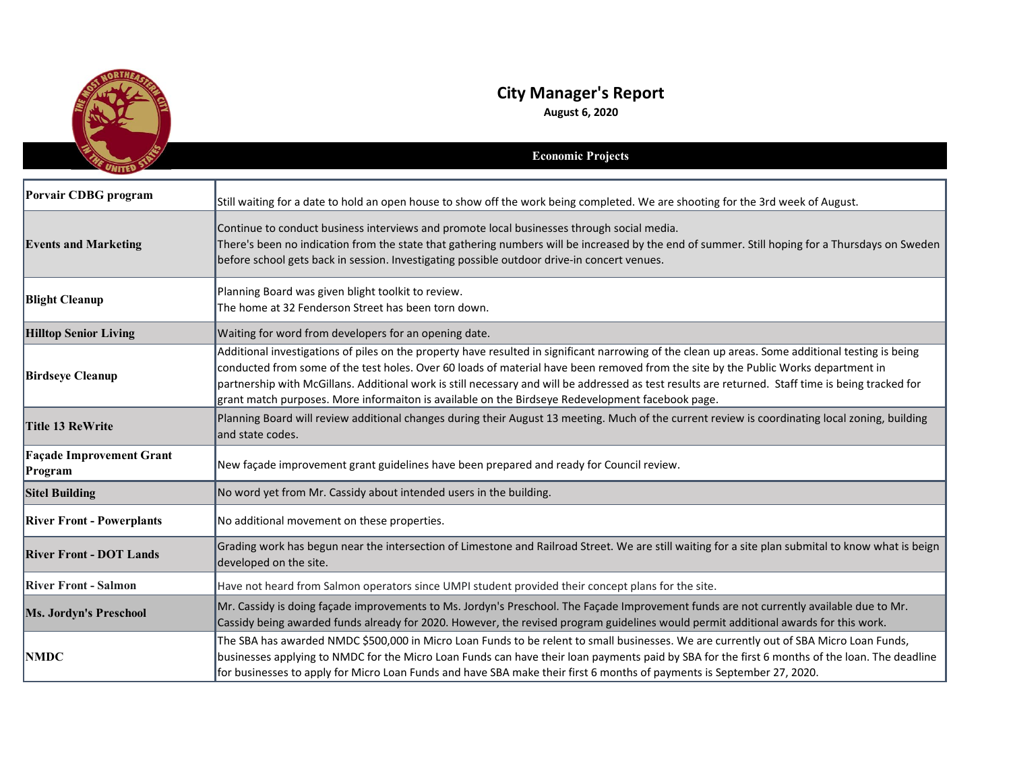

## **City Manager's Report**

**August 6, 2020**

|                                            | <b>Economic Projects</b>                                                                                                                                                                                                                                                                                                                                                                                                                                                                                                                          |
|--------------------------------------------|---------------------------------------------------------------------------------------------------------------------------------------------------------------------------------------------------------------------------------------------------------------------------------------------------------------------------------------------------------------------------------------------------------------------------------------------------------------------------------------------------------------------------------------------------|
| Porvair CDBG program                       | Still waiting for a date to hold an open house to show off the work being completed. We are shooting for the 3rd week of August.                                                                                                                                                                                                                                                                                                                                                                                                                  |
| <b>Events and Marketing</b>                | Continue to conduct business interviews and promote local businesses through social media.<br>There's been no indication from the state that gathering numbers will be increased by the end of summer. Still hoping for a Thursdays on Sweden<br>before school gets back in session. Investigating possible outdoor drive-in concert venues.                                                                                                                                                                                                      |
| <b>Blight Cleanup</b>                      | Planning Board was given blight toolkit to review.<br>The home at 32 Fenderson Street has been torn down.                                                                                                                                                                                                                                                                                                                                                                                                                                         |
| <b>Hilltop Senior Living</b>               | Waiting for word from developers for an opening date.                                                                                                                                                                                                                                                                                                                                                                                                                                                                                             |
| <b>Birdseye Cleanup</b>                    | Additional investigations of piles on the property have resulted in significant narrowing of the clean up areas. Some additional testing is being<br>conducted from some of the test holes. Over 60 loads of material have been removed from the site by the Public Works department in<br>partnership with McGillans. Additional work is still necessary and will be addressed as test results are returned. Staff time is being tracked for<br>grant match purposes. More informaiton is available on the Birdseye Redevelopment facebook page. |
| Title 13 ReWrite                           | Planning Board will review additional changes during their August 13 meeting. Much of the current review is coordinating local zoning, building<br>and state codes.                                                                                                                                                                                                                                                                                                                                                                               |
| <b>Façade Improvement Grant</b><br>Program | New façade improvement grant guidelines have been prepared and ready for Council review.                                                                                                                                                                                                                                                                                                                                                                                                                                                          |
| <b>Sitel Building</b>                      | No word yet from Mr. Cassidy about intended users in the building.                                                                                                                                                                                                                                                                                                                                                                                                                                                                                |
| <b>River Front - Powerplants</b>           | No additional movement on these properties.                                                                                                                                                                                                                                                                                                                                                                                                                                                                                                       |
| <b>River Front - DOT Lands</b>             | Grading work has begun near the intersection of Limestone and Railroad Street. We are still waiting for a site plan submital to know what is beign<br>developed on the site.                                                                                                                                                                                                                                                                                                                                                                      |
| <b>River Front - Salmon</b>                | Have not heard from Salmon operators since UMPI student provided their concept plans for the site.                                                                                                                                                                                                                                                                                                                                                                                                                                                |
| Ms. Jordyn's Preschool                     | Mr. Cassidy is doing façade improvements to Ms. Jordyn's Preschool. The Façade Improvement funds are not currently available due to Mr.<br>Cassidy being awarded funds already for 2020. However, the revised program guidelines would permit additional awards for this work.                                                                                                                                                                                                                                                                    |
| <b>NMDC</b>                                | The SBA has awarded NMDC \$500,000 in Micro Loan Funds to be relent to small businesses. We are currently out of SBA Micro Loan Funds,<br>businesses applying to NMDC for the Micro Loan Funds can have their loan payments paid by SBA for the first 6 months of the loan. The deadline<br>for businesses to apply for Micro Loan Funds and have SBA make their first 6 months of payments is September 27, 2020.                                                                                                                                |